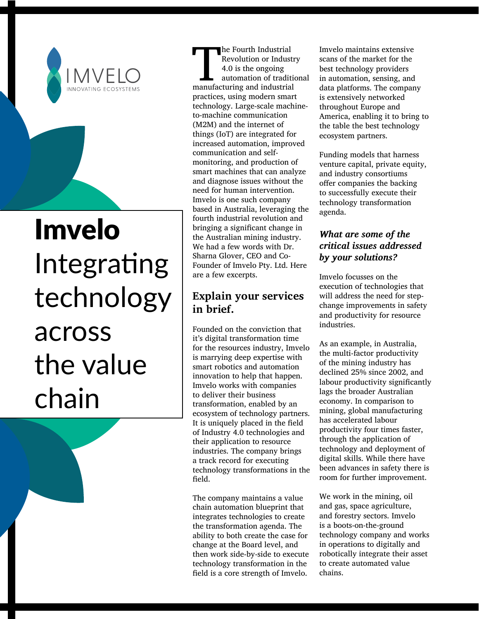

# Imvelo Integrating technology across the value chain

The Fourth Industrial<br>
Revolution or Industrial<br>
4.0 is the ongoing<br>
automation of tradition<br>
manufacturing and industrial Revolution or Industry 4.0 is the ongoing automation of traditional practices, using modern smart technology. Large-scale machineto-machine communication (M2M) and the internet of things (IoT) are integrated for increased automation, improved communication and selfmonitoring, and production of smart machines that can analyze and diagnose issues without the need for human intervention. Imvelo is one such company based in Australia, leveraging the fourth industrial revolution and bringing a significant change in the Australian mining industry. We had a few words with Dr. Sharna Glover, CEO and Co-Founder of Imvelo Pty. Ltd. Here are a few excerpts.

## **Explain your services in brief.**

Founded on the conviction that it's digital transformation time for the resources industry, Imvelo is marrying deep expertise with smart robotics and automation innovation to help that happen. Imvelo works with companies to deliver their business transformation, enabled by an ecosystem of technology partners. It is uniquely placed in the field of Industry 4.0 technologies and their application to resource industries. The company brings a track record for executing technology transformations in the field.

The company maintains a value chain automation blueprint that integrates technologies to create the transformation agenda. The ability to both create the case for change at the Board level, and then work side-by-side to execute technology transformation in the field is a core strength of Imvelo.

Imvelo maintains extensive scans of the market for the best technology providers in automation, sensing, and data platforms. The company is extensively networked throughout Europe and America, enabling it to bring to the table the best technology ecosystem partners.

Funding models that harness venture capital, private equity, and industry consortiums offer companies the backing to successfully execute their technology transformation agenda.

## *What are some of the critical issues addressed by your solutions?*

Imvelo focusses on the execution of technologies that will address the need for stepchange improvements in safety and productivity for resource industries.

As an example, in Australia, the multi-factor productivity of the mining industry has declined 25% since 2002, and labour productivity significantly lags the broader Australian economy. In comparison to mining, global manufacturing has accelerated labour productivity four times faster, through the application of technology and deployment of digital skills. While there have been advances in safety there is room for further improvement.

We work in the mining, oil and gas, space agriculture, and forestry sectors. Imvelo is a boots-on-the-ground technology company and works in operations to digitally and robotically integrate their asset to create automated value chains.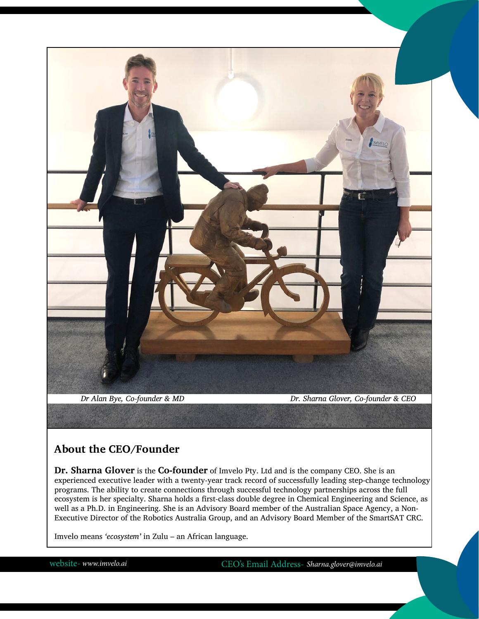

## **About the CEO/Founder**

**Dr. Sharna Glover** is the **Co-founder** of Imvelo Pty. Ltd and is the company CEO. She is an experienced executive leader with a twenty-year track record of successfully leading step-change technology programs. The ability to create connections through successful technology partnerships across the full ecosystem is her specialty. Sharna holds a first-class double degree in Chemical Engineering and Science, as well as a Ph.D. in Engineering. She is an Advisory Board member of the Australian Space Agency, a Non-Executive Director of the Robotics Australia Group, and an Advisory Board Member of the SmartSAT CRC.

Imvelo means *'ecosystem'* in Zulu – an African language.

website- *[www.imvelo.ai](https://imvelo.ai/)* CEO's Email Address- *Sharna.glover@imvelo.ai*